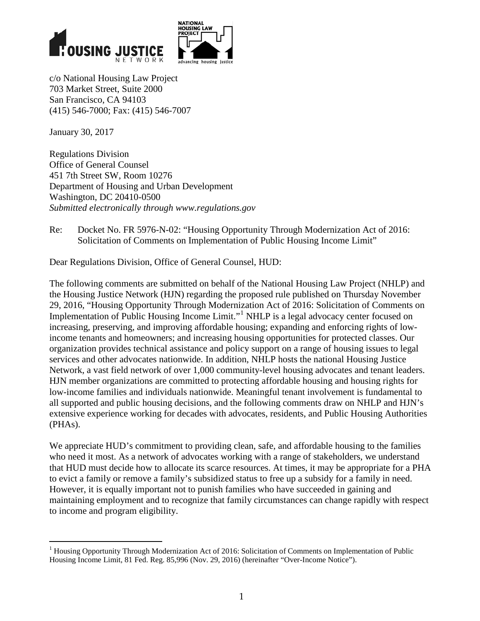



c/o National Housing Law Project 703 Market Street, Suite 2000 San Francisco, CA 94103 (415) 546-7000; Fax: (415) 546-7007

January 30, 2017

 $\overline{a}$ 

Regulations Division Office of General Counsel 451 7th Street SW, Room 10276 Department of Housing and Urban Development Washington, DC 20410-0500 *Submitted electronically through www.regulations.gov*

Re: Docket No. FR 5976-N-02: "Housing Opportunity Through Modernization Act of 2016: Solicitation of Comments on Implementation of Public Housing Income Limit"

Dear Regulations Division, Office of General Counsel, HUD:

The following comments are submitted on behalf of the National Housing Law Project (NHLP) and the Housing Justice Network (HJN) regarding the proposed rule published on Thursday November 29, 2016, "Housing Opportunity Through Modernization Act of 2016: Solicitation of Comments on Implementation of Public Housing Income Limit."<sup>[1](#page-0-0)</sup> NHLP is a legal advocacy center focused on increasing, preserving, and improving affordable housing; expanding and enforcing rights of lowincome tenants and homeowners; and increasing housing opportunities for protected classes. Our organization provides technical assistance and policy support on a range of housing issues to legal services and other advocates nationwide. In addition, NHLP hosts the national Housing Justice Network, a vast field network of over 1,000 community-level housing advocates and tenant leaders. HJN member organizations are committed to protecting affordable housing and housing rights for low-income families and individuals nationwide. Meaningful tenant involvement is fundamental to all supported and public housing decisions, and the following comments draw on NHLP and HJN's extensive experience working for decades with advocates, residents, and Public Housing Authorities (PHAs).

We appreciate HUD's commitment to providing clean, safe, and affordable housing to the families who need it most. As a network of advocates working with a range of stakeholders, we understand that HUD must decide how to allocate its scarce resources. At times, it may be appropriate for a PHA to evict a family or remove a family's subsidized status to free up a subsidy for a family in need. However, it is equally important not to punish families who have succeeded in gaining and maintaining employment and to recognize that family circumstances can change rapidly with respect to income and program eligibility.

<span id="page-0-0"></span><sup>&</sup>lt;sup>1</sup> Housing Opportunity Through Modernization Act of 2016: Solicitation of Comments on Implementation of Public Housing Income Limit, 81 Fed. Reg. 85,996 (Nov. 29, 2016) (hereinafter "Over-Income Notice").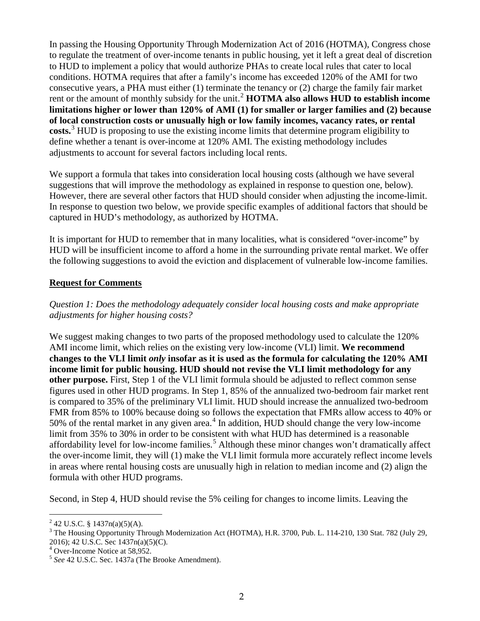In passing the Housing Opportunity Through Modernization Act of 2016 (HOTMA), Congress chose to regulate the treatment of over-income tenants in public housing, yet it left a great deal of discretion to HUD to implement a policy that would authorize PHAs to create local rules that cater to local conditions. HOTMA requires that after a family's income has exceeded 120% of the AMI for two consecutive years, a PHA must either (1) terminate the tenancy or (2) charge the family fair market rent or the amount of monthly subsidy for the unit.<sup>[2](#page-1-0)</sup> **HOTMA** also allows **HUD** to establish income **limitations higher or lower than 120% of AMI (1) for smaller or larger families and (2) because of local construction costs or unusually high or low family incomes, vacancy rates, or rental costs.**[3](#page-1-1) HUD is proposing to use the existing income limits that determine program eligibility to define whether a tenant is over-income at 120% AMI. The existing methodology includes adjustments to account for several factors including local rents.

We support a formula that takes into consideration local housing costs (although we have several suggestions that will improve the methodology as explained in response to question one, below). However, there are several other factors that HUD should consider when adjusting the income-limit. In response to question two below, we provide specific examples of additional factors that should be captured in HUD's methodology, as authorized by HOTMA.

It is important for HUD to remember that in many localities, what is considered "over-income" by HUD will be insufficient income to afford a home in the surrounding private rental market. We offer the following suggestions to avoid the eviction and displacement of vulnerable low-income families.

## **Request for Comments**

## *Question 1: Does the methodology adequately consider local housing costs and make appropriate adjustments for higher housing costs?*

We suggest making changes to two parts of the proposed methodology used to calculate the 120% AMI income limit, which relies on the existing very low-income (VLI) limit. **We recommend changes to the VLI limit** *only* **insofar as it is used as the formula for calculating the 120% AMI income limit for public housing. HUD should not revise the VLI limit methodology for any other purpose.** First, Step 1 of the VLI limit formula should be adjusted to reflect common sense figures used in other HUD programs. In Step 1, 85% of the annualized two-bedroom fair market rent is compared to 35% of the preliminary VLI limit. HUD should increase the annualized two-bedroom FMR from 85% to 100% because doing so follows the expectation that FMRs allow access to 40% or 50% of the rental market in any given area.<sup>[4](#page-1-2)</sup> In addition,  $\overline{HUD}$  should change the very low-income limit from 35% to 30% in order to be consistent with what HUD has determined is a reasonable affordability level for low-income families.<sup>[5](#page-1-3)</sup> Although these minor changes won't dramatically affect the over-income limit, they will (1) make the VLI limit formula more accurately reflect income levels in areas where rental housing costs are unusually high in relation to median income and (2) align the formula with other HUD programs.

Second, in Step 4, HUD should revise the 5% ceiling for changes to income limits. Leaving the

 $\overline{a}$ 

<span id="page-1-1"></span><span id="page-1-0"></span><sup>&</sup>lt;sup>2</sup> 42 U.S.C. § 1437n(a)(5)(A).<br><sup>3</sup> The Housing Opportunity Through Modernization Act (HOTMA), H.R. 3700, Pub. L. 114-210, 130 Stat. 782 (July 29, 2016); 42 U.S.C. Sec 1437n(a)(5)(C). <sup>4</sup> Over-Income Notice at 58,952. <sup>5</sup> *See* 42 U.S.C. Sec. 1437a (The Brooke Amendment).

<span id="page-1-2"></span>

<span id="page-1-3"></span>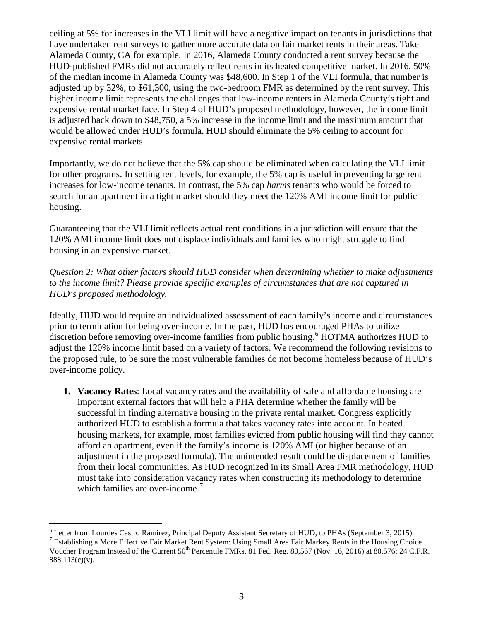ceiling at 5% for increases in the VLI limit will have a negative impact on tenants in jurisdictions that have undertaken rent surveys to gather more accurate data on fair market rents in their areas. Take Alameda County, CA for example. In 2016, Alameda County conducted a rent survey because the HUD-published FMRs did not accurately reflect rents in its heated competitive market. In 2016, 50% of the median income in Alameda County was \$48,600. In Step 1 of the VLI formula, that number is adjusted up by 32%, to \$61,300, using the two-bedroom FMR as determined by the rent survey. This higher income limit represents the challenges that low-income renters in Alameda County's tight and expensive rental market face. In Step 4 of HUD's proposed methodology, however, the income limit is adjusted back down to \$48,750, a 5% increase in the income limit and the maximum amount that would be allowed under HUD's formula. HUD should eliminate the 5% ceiling to account for expensive rental markets.

Importantly, we do not believe that the 5% cap should be eliminated when calculating the VLI limit for other programs. In setting rent levels, for example, the 5% cap is useful in preventing large rent increases for low-income tenants. In contrast, the 5% cap *harms* tenants who would be forced to search for an apartment in a tight market should they meet the 120% AMI income limit for public housing.

Guaranteeing that the VLI limit reflects actual rent conditions in a jurisdiction will ensure that the 120% AMI income limit does not displace individuals and families who might struggle to find housing in an expensive market.

*Question 2: What other factors should HUD consider when determining whether to make adjustments to the income limit? Please provide specific examples of circumstances that are not captured in HUD's proposed methodology.*

Ideally, HUD would require an individualized assessment of each family's income and circumstances prior to termination for being over-income. In the past, HUD has encouraged PHAs to utilize discretion before removing over-income families from public housing.<sup>[6](#page-2-0)</sup> HOTMA authorizes HUD to adjust the 120% income limit based on a variety of factors. We recommend the following revisions to the proposed rule, to be sure the most vulnerable families do not become homeless because of HUD's over-income policy.

**1. Vacancy Rates**: Local vacancy rates and the availability of safe and affordable housing are important external factors that will help a PHA determine whether the family will be successful in finding alternative housing in the private rental market. Congress explicitly authorized HUD to establish a formula that takes vacancy rates into account. In heated housing markets, for example, most families evicted from public housing will find they cannot afford an apartment, even if the family's income is 120% AMI (or higher because of an adjustment in the proposed formula). The unintended result could be displacement of families from their local communities. As HUD recognized in its Small Area FMR methodology, HUD must take into consideration vacancy rates when constructing its methodology to determine which families are over-income.<sup>[7](#page-2-1)</sup>

 $\overline{a}$ 

<span id="page-2-0"></span><sup>&</sup>lt;sup>6</sup> Letter from Lourdes Castro Ramirez, Principal Deputy Assistant Secretary of HUD, to PHAs (September 3, 2015).<br><sup>7</sup> Establishing a More Effective Fair Market Rent System: Using Small Area Fair Markey Rents in the Housin

<span id="page-2-1"></span>Voucher Program Instead of the Current  $50^{th}$  Percentile FMRs,  $81$  Fed. Reg.  $80,567$  (Nov. 16, 2016) at  $80,576$ ; 24 C.F.R. 888.113(c)(v).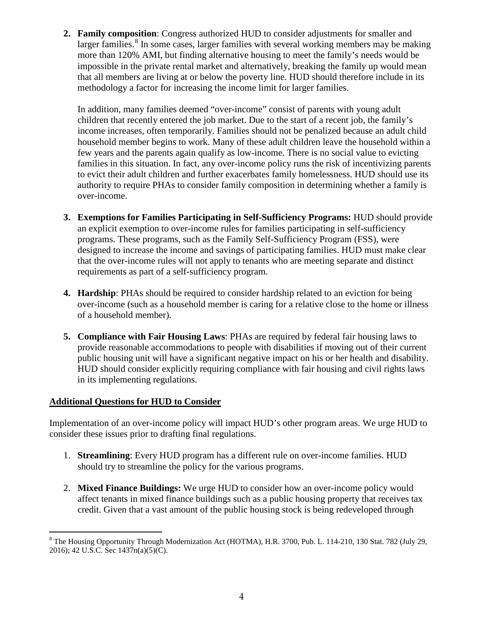**2. Family composition**: Congress authorized HUD to consider adjustments for smaller and larger families.<sup>[8](#page-3-0)</sup> In some cases, larger families with several working members may be making more than 120% AMI, but finding alternative housing to meet the family's needs would be impossible in the private rental market and alternatively, breaking the family up would mean that all members are living at or below the poverty line. HUD should therefore include in its methodology a factor for increasing the income limit for larger families.

In addition, many families deemed "over-income" consist of parents with young adult children that recently entered the job market. Due to the start of a recent job, the family's income increases, often temporarily. Families should not be penalized because an adult child household member begins to work. Many of these adult children leave the household within a few years and the parents again qualify as low-income. There is no social value to evicting families in this situation. In fact, any over-income policy runs the risk of incentivizing parents to evict their adult children and further exacerbates family homelessness. HUD should use its authority to require PHAs to consider family composition in determining whether a family is over-income.

- **3. Exemptions for Families Participating in Self-Sufficiency Programs:** HUD should provide an explicit exemption to over-income rules for families participating in self-sufficiency programs. These programs, such as the Family Self-Sufficiency Program (FSS), were designed to increase the income and savings of participating families. HUD must make clear that the over-income rules will not apply to tenants who are meeting separate and distinct requirements as part of a self-sufficiency program.
- **4. Hardship**: PHAs should be required to consider hardship related to an eviction for being over-income (such as a household member is caring for a relative close to the home or illness of a household member).
- **5. Compliance with Fair Housing Laws**: PHAs are required by federal fair housing laws to provide reasonable accommodations to people with disabilities if moving out of their current public housing unit will have a significant negative impact on his or her health and disability. HUD should consider explicitly requiring compliance with fair housing and civil rights laws in its implementing regulations.

## **Additional Questions for HUD to Consider**

 $\overline{a}$ 

Implementation of an over-income policy will impact HUD's other program areas. We urge HUD to consider these issues prior to drafting final regulations.

- 1. **Streamlining**: Every HUD program has a different rule on over-income families. HUD should try to streamline the policy for the various programs.
- 2. **Mixed Finance Buildings:** We urge HUD to consider how an over-income policy would affect tenants in mixed finance buildings such as a public housing property that receives tax credit. Given that a vast amount of the public housing stock is being redeveloped through

<span id="page-3-0"></span> $8$  The Housing Opportunity Through Modernization Act (HOTMA), H.R. 3700, Pub. L. 114-210, 130 Stat. 782 (July 29, 2016); 42 U.S.C. Sec 1437n(a)(5)(C).